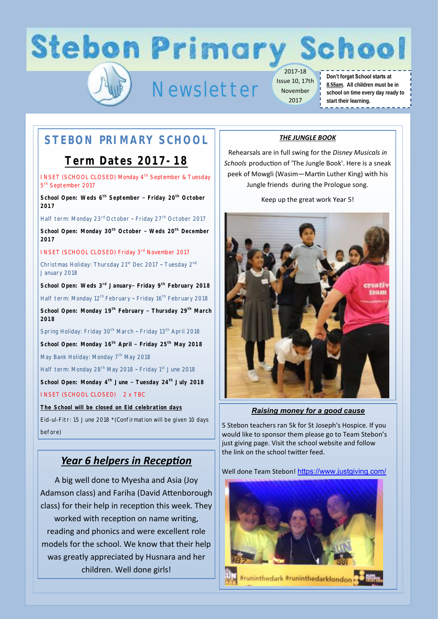# **Stebon Primary School**

# Newsletter

2017-18 Issue 10, 17th November 2017

#### **Don't forget School starts at 8.55am. All children must be in school on time every day ready to start their learning.** -------------

## **STEBON PRIMARY SCHOOL**

### **Term Dates 2017-18**

INSET (SCHOOL CLOSED) Monday 4<sup>th</sup> September & Tuesday 5<sup>th</sup> September 2017

**School Open: Weds 6th September – Friday 20th October 2017**

Half term: Monday 23<sup>rd</sup> October - Friday 27<sup>th</sup> October 2017

**School Open: Monday 30th October – Weds 20th December 2017** 

INSET (SCHOOL CLOSED) Friday 3rd November 2017 Christmas Holiday: Thursday 21<sup>st</sup> Dec 2017 - Tuesday 2<sup>nd</sup> January 2018

**School Open: Weds 3rd January– Friday 9th February 2018** Half term: Monday 12<sup>th</sup> February - Friday 16<sup>th</sup> February 2018 **School Open: Monday 19th February – Thursday 29th March 2018**

Spring Holiday: Friday 30<sup>th</sup> March - Friday 13<sup>th</sup> April 2018 **School Open: Monday 16th April – Friday 25th May 2018**

May Bank Holiday: Monday 7<sup>th</sup> May 2018

Half term: Monday 28<sup>th</sup> May 2018 - Friday 1<sup>st</sup> June 2018

**School Open: Monday 4th June – Tuesday 24th July 2018** INSET (SCHOOL CLOSED) 2 x TBC

**The School will be closed on Eid celebration days**

Eid-ul-Fitr: 15 June 2018 \*(Confirmation will be given 10 days before)

### *Year 6 helpers in Reception*

A big well done to Myesha and Asia (Joy Adamson class) and Fariha (David Attenborough class) for their help in reception this week. They worked with reception on name writing, reading and phonics and were excellent role models for the school. We know that their help was greatly appreciated by Husnara and her children. Well done girls!

### *THE JUNGLE BOOK*

Rehearsals are in full swing for the *Disney Musicals in Schools* production of 'The Jungle Book'. Here is a sneak peek of Mowgli (Wasim—Martin Luther King) with his Jungle friends during the Prologue song.

Keep up the great work Year 5!



*Raising money for a good cause*

5 Stebon teachers ran 5k for St Joseph's Hospice. If you would like to sponsor them please go to Team Stebon's just giving page. Visit the school website and follow the link on the school twitter feed.

Well done Team Stebon! [https://www.justgiving.com/](https://www.justgiving.com/crowdfunding/teamstebon)